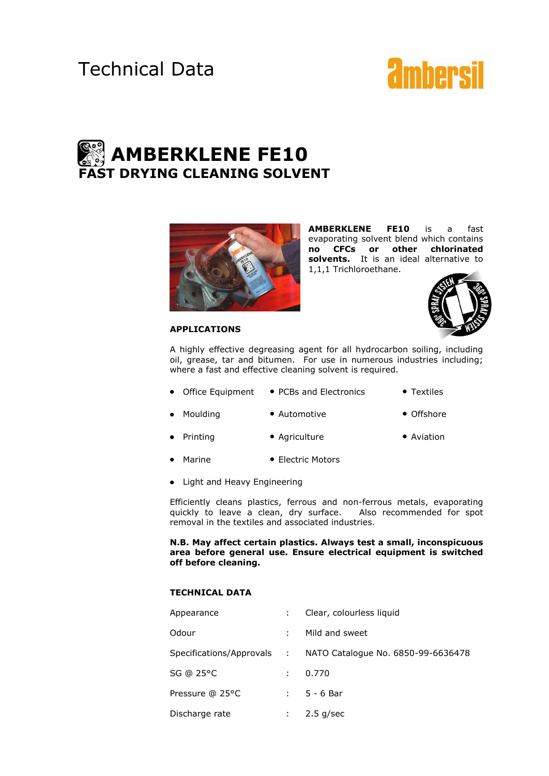# Technical Data



# **AMBERKLENE FE10 FAST DRYING CLEANING SOLVENT**



**AMBERKLENE FE10** is a fast evaporating solvent blend which contains **no CFCs or other chlorinated solvents.** It is an ideal alternative to 1,1,1 Trichloroethane.



A highly effective degreasing agent for all hydrocarbon soiling, including oil, grease, tar and bitumen. For use in numerous industries including; where a fast and effective cleaning solvent is required.

- Office Equipment PCBs and Electronics Textiles
- Moulding Automotive Offshore
	- **Printing Agriculture Aviation** 
		-
- Marine Electric Motors
- Light and Heavy Engineering

Efficiently cleans plastics, ferrous and non-ferrous metals, evaporating quickly to leave a clean, dry surface. Also recommended for spot removal in the textiles and associated industries.

**N.B. May affect certain plastics. Always test a small, inconspicuous area before general use. Ensure electrical equipment is switched off before cleaning.**

## **TECHNICAL DATA**

| Appearance      |               | Clear, colourless liquid                                      |
|-----------------|---------------|---------------------------------------------------------------|
| Odour           |               | Mild and sweet                                                |
|                 |               | Specifications/Approvals : NATO Catalogue No. 6850-99-6636478 |
| SG @ 25°C       | $\mathcal{L}$ | 0.770                                                         |
| Pressure @ 25°C |               | $: 5 - 6$ Bar                                                 |
| Discharge rate  |               | $2.5$ g/sec                                                   |